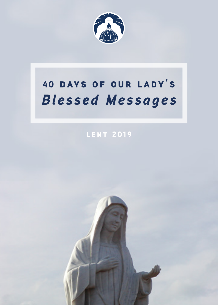

# 40 days of our lady's *Blessed Messages*

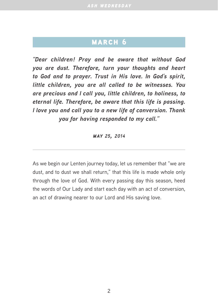*"Dear children! Pray and be aware that without God you are dust. Therefore, turn your thoughts and heart to God and to prayer. Trust in His love. In God's spirit, little children, you are all called to be witnesses. You are precious and I call you, little children, to holiness, to eternal life. Therefore, be aware that this life is passing. I love you and call you to a new life of conversion. Thank you for having responded to my call."*

*may 25, 2014*

As we begin our Lenten journey today, let us remember that "we are dust, and to dust we shall return," that this life is made whole only through the love of God. With every passing day this season, heed the words of Our Lady and start each day with an act of conversion, an act of drawing nearer to our Lord and His saving love.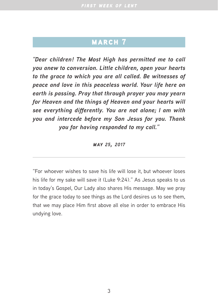### MARCH<sub>7</sub>

*"Dear children! The Most High has permitted me to call you anew to conversion. Little children, open your hearts to the grace to which you are all called. Be witnesses of peace and love in this peaceless world. Your life here on earth is passing. Pray that through prayer you may yearn for Heaven and the things of Heaven and your hearts will see everything differently. You are not alone; I am with you and intercede before my Son Jesus for you. Thank you for having responded to my call."*

#### *may 25, 2017*

"For whoever wishes to save his life will lose it, but whoever loses his life for my sake will save it (Luke 9:24)." As Jesus speaks to us in today's Gospel, Our Lady also shares His message. May we pray for the grace today to see things as the Lord desires us to see them, that we may place Him first above all else in order to embrace His undying love.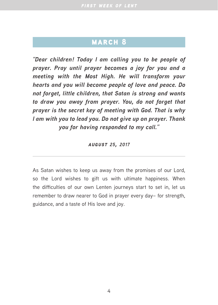*"Dear children! Today I am calling you to be people of prayer. Pray until prayer becomes a joy for you and a meeting with the Most High. He will transform your hearts and you will become people of love and peace. Do not forget, little children, that Satan is strong and wants to draw you away from prayer. You, do not forget that prayer is the secret key of meeting with God. That is why I am with you to lead you. Do not give up on prayer. Thank you for having responded to my call."*

*august 25, 2017*

As Satan wishes to keep us away from the promises of our Lord, so the Lord wishes to gift us with ultimate happiness. When the difficulties of our own Lenten journeys start to set in, let us remember to draw nearer to God in prayer every day– for strength, guidance, and a taste of His love and joy.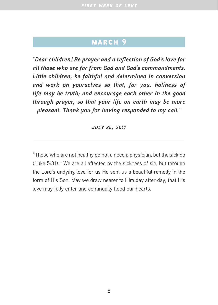*"Dear children! Be prayer and a reflection of God's love for all those who are far from God and God's commandments. Little children, be faithful and determined in conversion and work on yourselves so that, for you, holiness of life may be truth; and encourage each other in the good through prayer, so that your life on earth may be more pleasant. Thank you for having responded to my call."*

*july 25, 2017*

"Those who are not healthy do not a need a physician, but the sick do (Luke 5:31)." We are all affected by the sickness of sin, but through the Lord's undying love for us He sent us a beautiful remedy in the form of His Son. May we draw nearer to Him day after day, that His love may fully enter and continually flood our hearts.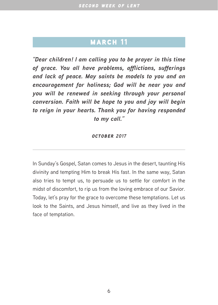*"Dear children! I am calling you to be prayer in this time of grace. You all have problems, afflictions, sufferings and lack of peace. May saints be models to you and an encouragement for holiness; God will be near you and you will be renewed in seeking through your personal conversion. Faith will be hope to you and joy will begin to reign in your hearts. Thank you for having responded to my call."*

#### *october 2017*

In Sunday's Gospel, Satan comes to Jesus in the desert, taunting His divinity and tempting Him to break His fast. In the same way, Satan also tries to tempt us, to persuade us to settle for comfort in the midst of discomfort, to rip us from the loving embrace of our Savior. Today, let's pray for the grace to overcome these temptations. Let us look to the Saints, and Jesus himself, and live as they lived in the face of temptation.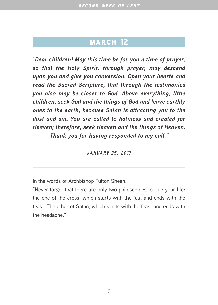*"Dear children! May this time be for you a time of prayer, so that the Holy Spirit, through prayer, may descend upon you and give you conversion. Open your hearts and read the Sacred Scripture, that through the testimonies you also may be closer to God. Above everything, little children, seek God and the things of God and leave earthly ones to the earth, because Satan is attracting you to the dust and sin. You are called to holiness and created for Heaven; therefore, seek Heaven and the things of Heaven. Thank you for having responded to my call."*

*january 25, 2017*

In the words of Archbishop Fulton Sheen:

"Never forget that there are only two philosophies to rule your life: the one of the cross, which starts with the fast and ends with the feast. The other of Satan, which starts with the feast and ends with the headache."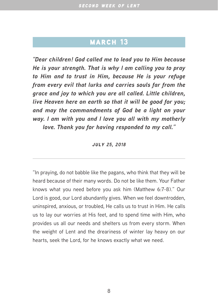*"Dear children! God called me to lead you to Him because He is your strength. That is why I am calling you to pray to Him and to trust in Him, because He is your refuge from every evil that lurks and carries souls far from the grace and joy to which you are all called. Little children, live Heaven here on earth so that it will be good for you; and may the commandments of God be a light on your way. I am with you and I love you all with my motherly love. Thank you for having responded to my call."*

*july 25, 2018*

"In praying, do not babble like the pagans, who think that they will be heard because of their many words. Do not be like them. Your Father knows what you need before you ask him (Matthew 6:7-8)." Our Lord is good, our Lord abundantly gives. When we feel downtrodden, uninspired, anxious, or troubled, He calls us to trust in Him. He calls us to lay our worries at His feet, and to spend time with Him, who provides us all our needs and shelters us from every storm. When the weight of Lent and the dreariness of winter lay heavy on our hearts, seek the Lord, for he knows exactly what we need.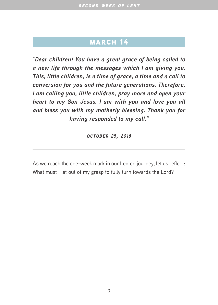*"Dear children! You have a great grace of being called to a new life through the messages which I am giving you. This, little children, is a time of grace, a time and a call to conversion for you and the future generations. Therefore, I am calling you, little children, pray more and open your heart to my Son Jesus. I am with you and love you all and bless you with my motherly blessing. Thank you for having responded to my call."*

*october 25, 2018*

As we reach the one-week mark in our Lenten journey, let us reflect: What must I let out of my grasp to fully turn towards the Lord?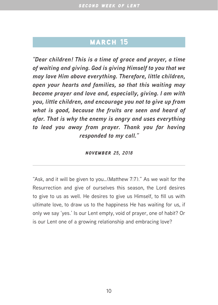*"Dear children! This is a time of grace and prayer, a time of waiting and giving. God is giving Himself to you that we may love Him above everything. Therefore, little children, open your hearts and families, so that this waiting may become prayer and love and, especially, giving. I am with you, little children, and encourage you not to give up from what is good, because the fruits are seen and heard of afar. That is why the enemy is angry and uses everything to lead you away from prayer. Thank you for having responded to my call."*

*november 25, 2018*

"Ask, and it will be given to you…(Matthew 7:7)." As we wait for the Resurrection and give of ourselves this season, the Lord desires to give to us as well. He desires to give us Himself, to fill us with ultimate love, to draw us to the happiness He has waiting for us, if only we say 'yes.' Is our Lent empty, void of prayer, one of habit? Or is our Lent one of a growing relationship and embracing love?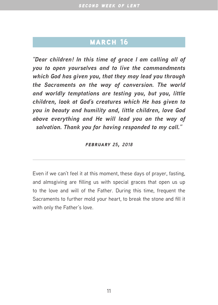*"Dear children! In this time of grace I am calling all of you to open yourselves and to live the commandments which God has given you, that they may lead you through the Sacraments on the way of conversion. The world and worldly temptations are testing you, but you, little children, look at God's creatures which He has given to you in beauty and humility and, little children, love God above everything and He will lead you on the way of salvation. Thank you for having responded to my call."*

*february 25, 2018*

Even if we can't feel it at this moment, these days of prayer, fasting, and almsgiving are filling us with special graces that open us up to the love and will of the Father. During this time, frequent the Sacraments to further mold your heart, to break the stone and fill it with only the Father's love.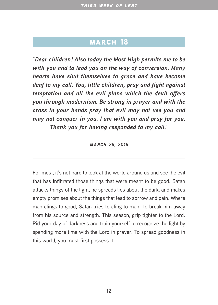*"Dear children! Also today the Most High permits me to be with you and to lead you on the way of conversion. Many hearts have shut themselves to grace and have become deaf to my call. You, little children, pray and fight against temptation and all the evil plans which the devil offers you through modernism. Be strong in prayer and with the cross in your hands pray that evil may not use you and may not conquer in you. I am with you and pray for you. Thank you for having responded to my call."*

*march 25, 2015*

For most, it's not hard to look at the world around us and see the evil that has infiltrated those things that were meant to be good. Satan attacks things of the light, he spreads lies about the dark, and makes empty promises about the things that lead to sorrow and pain. Where man clings to good, Satan tries to cling to man- to break him away from his source and strength. This season, grip tighter to the Lord. Rid your day of darkness and train yourself to recognize the light by spending more time with the Lord in prayer. To spread goodness in this world, you must first possess it.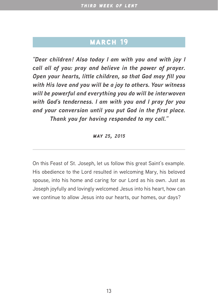### MARCH<sub>19</sub>

*"Dear children! Also today I am with you and with joy I call all of you: pray and believe in the power of prayer. Open your hearts, little children, so that God may fill you with His love and you will be a joy to others. Your witness will be powerful and everything you do will be interwoven with God's tenderness. I am with you and I pray for you and your conversion until you put God in the first place. Thank you for having responded to my call."*

*may 25, 2015*

On this Feast of St. Joseph, let us follow this great Saint's example. His obedience to the Lord resulted in welcoming Mary, his beloved spouse, into his home and caring for our Lord as his own. Just as Joseph joyfully and lovingly welcomed Jesus into his heart, how can we continue to allow Jesus into our hearts, our homes, our days?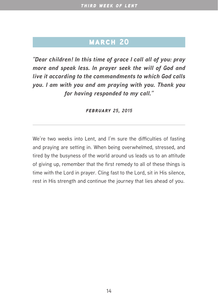*"Dear children! In this time of grace I call all of you: pray more and speak less. In prayer seek the will of God and live it according to the commandments to which God calls you. I am with you and am praying with you. Thank you for having responded to my call."*

*february 25, 2015*

We're two weeks into Lent, and I'm sure the difficulties of fasting and praying are setting in. When being overwhelmed, stressed, and tired by the busyness of the world around us leads us to an attitude of giving up, remember that the first remedy to all of these things is time with the Lord in prayer. Cling fast to the Lord, sit in His silence, rest in His strength and continue the journey that lies ahead of you.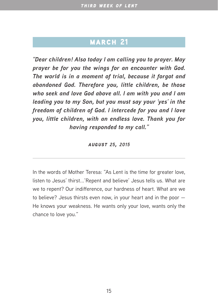*"Dear children! Also today I am calling you to prayer. May prayer be for you the wings for an encounter with God. The world is in a moment of trial, because it forgot and abandoned God. Therefore you, little children, be those who seek and love God above all. I am with you and I am leading you to my Son, but you must say your 'yes' in the freedom of children of God. I intercede for you and I love you, little children, with an endless love. Thank you for having responded to my call."*

*august 25, 2015*

In the words of Mother Teresa: "As Lent is the time for greater love, listen to Jesus' thirst...'Repent and believe' Jesus tells us. What are we to repent? Our indifference, our hardness of heart. What are we to believe? Jesus thirsts even now, in your heart and in the poor — He knows your weakness. He wants only your love, wants only the chance to love you."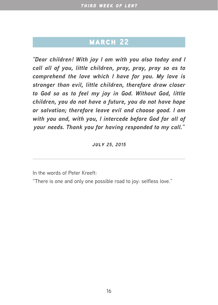*"Dear children! With joy I am with you also today and I call all of you, little children, pray, pray, pray so as to comprehend the love which I have for you. My love is stronger than evil, little children, therefore draw closer to God so as to feel my joy in God. Without God, little children, you do not have a future, you do not have hope or salvation; therefore leave evil and choose good. I am with you and, with you, I intercede before God for all of your needs. Thank you for having responded to my call."*

#### *july 25, 2015*

In the words of Peter Kreeft:

"There is one and only one possible road to joy: selfless love."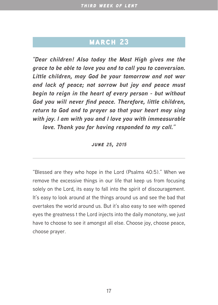*"Dear children! Also today the Most High gives me the grace to be able to love you and to call you to conversion. Little children, may God be your tomorrow and not war and lack of peace; not sorrow but joy and peace must begin to reign in the heart of every person - but without God you will never find peace. Therefore, little children, return to God and to prayer so that your heart may sing with joy. I am with you and I love you with immeasurable love. Thank you for having responded to my call."*

#### *june 25, 2015*

"Blessed are they who hope in the Lord (Psalms 40:5)." When we remove the excessive things in our life that keep us from focusing solely on the Lord, its easy to fall into the spirit of discouragement. It's easy to look around at the things around us and see the bad that overtakes the world around us. But it's also easy to see with opened eyes the greatness t the Lord injects into the daily monotony, we just have to choose to see it amongst all else. Choose joy, choose peace, choose prayer.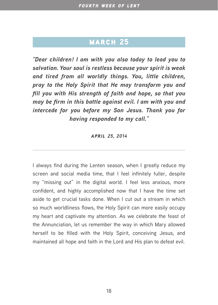*"Dear children! I am with you also today to lead you to salvation. Your soul is restless because your spirit is weak and tired from all worldly things. You, little children, pray to the Holy Spirit that He may transform you and fill you with His strength of faith and hope, so that you may be firm in this battle against evil. I am with you and intercede for you before my Son Jesus. Thank you for having responded to my call."*

*april 25, 2014*

I always find during the Lenten season, when I greatly reduce my screen and social media time, that I feel infinitely fuller, despite my "missing out" in the digital world. I feel less anxious, more confident, and highly accomplished now that I have the time set aside to get crucial tasks done. When I cut out a stream in which so much worldliness flows, the Holy Spirit can more easily occupy my heart and captivate my attention. As we celebrate the feast of the Annunciation, let us remember the way in which Mary allowed herself to be filled with the Holy Spirit, conceiving Jesus, and maintained all hope and faith in the Lord and His plan to defeat evil.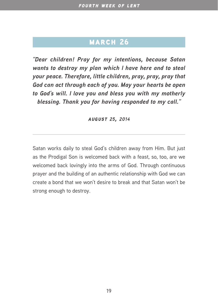*"Dear children! Pray for my intentions, because Satan wants to destroy my plan which I have here and to steal your peace. Therefore, little children, pray, pray, pray that God can act through each of you. May your hearts be open to God's will. I love you and bless you with my motherly blessing. Thank you for having responded to my call."*

*august 25, 2014*

Satan works daily to steal God's children away from Him. But just as the Prodigal Son is welcomed back with a feast, so, too, are we welcomed back lovingly into the arms of God. Through continuous prayer and the building of an authentic relationship with God we can create a bond that we won't desire to break and that Satan won't be strong enough to destroy.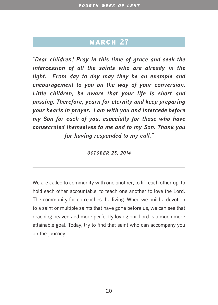*"Dear children! Pray in this time of grace and seek the intercession of all the saints who are already in the light. From day to day may they be an example and encouragement to you on the way of your conversion. Little children, be aware that your life is short and passing. Therefore, yearn for eternity and keep preparing your hearts in prayer. I am with you and intercede before my Son for each of you, especially for those who have consecrated themselves to me and to my Son. Thank you for having responded to my call."*

*october 25, 2014*

We are called to community with one another, to lift each other up, to hold each other accountable, to teach one another to love the Lord. The community far outreaches the living. When we build a devotion to a saint or multiple saints that have gone before us, we can see that reaching heaven and more perfectly loving our Lord is a much more attainable goal. Today, try to find that saint who can accompany you on the journey.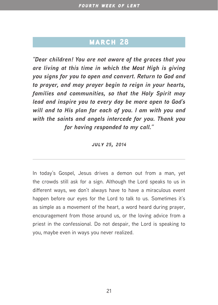*"Dear children! You are not aware of the graces that you are living at this time in which the Most High is giving you signs for you to open and convert. Return to God and to prayer, and may prayer begin to reign in your hearts, families and communities, so that the Holy Spirit may lead and inspire you to every day be more open to God's will and to His plan for each of you. I am with you and with the saints and angels intercede for you. Thank you for having responded to my call."*

*july 25, 2014*

In today's Gospel, Jesus drives a demon out from a man, yet the crowds still ask for a sign. Although the Lord speaks to us in different ways, we don't always have to have a miraculous event happen before our eyes for the Lord to talk to us. Sometimes it's as simple as a movement of the heart, a word heard during prayer, encouragement from those around us, or the loving advice from a priest in the confessional. Do not despair, the Lord is speaking to you, maybe even in ways you never realized.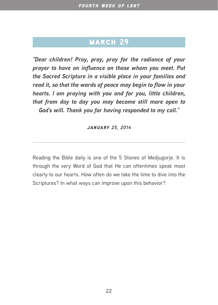## MARCH<sub>29</sub>

*"Dear children! Pray, pray, pray for the radiance of your prayer to have an influence on those whom you meet. Put the Sacred Scripture in a visible place in your families and read it, so that the words of peace may begin to flow in your hearts. I am praying with you and for you, little children, that from day to day you may become still more open to God's will. Thank you for having responded to my call."*

*january 25, 2014*

Reading the Bible daily is one of the 5 Stones of Medjugorje. It is through the very Word of God that He can oftentimes speak most clearly to our hearts. How often do we take the time to dive into the Scriptures? In what ways can improve upon this behavior?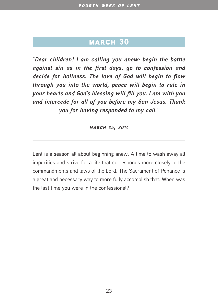*"Dear children! I am calling you anew: begin the battle against sin as in the first days, go to confession and decide for holiness. The love of God will begin to flow through you into the world, peace will begin to rule in your hearts and God's blessing will fill you. I am with you and intercede for all of you before my Son Jesus. Thank you for having responded to my call."*

*march 25, 2014*

Lent is a season all about beginning anew. A time to wash away all impurities and strive for a life that corresponds more closely to the commandments and laws of the Lord. The Sacrament of Penance is a great and necessary way to more fully accomplish that. When was the last time you were in the confessional?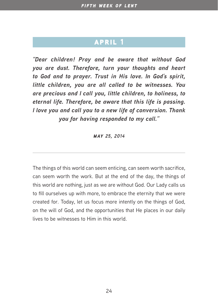*"Dear children! Pray and be aware that without God you are dust. Therefore, turn your thoughts and heart to God and to prayer. Trust in His love. In God's spirit, little children, you are all called to be witnesses. You are precious and I call you, little children, to holiness, to eternal life. Therefore, be aware that this life is passing. I love you and call you to a new life of conversion. Thank you for having responded to my call."*

*may 25, 2014*

The things of this world can seem enticing, can seem worth sacrifice, can seem worth the work. But at the end of the day, the things of this world are nothing, just as we are without God. Our Lady calls us to fill ourselves up with more, to embrace the eternity that we were created for. Today, let us focus more intently on the things of God, on the will of God, and the opportunities that He places in our daily lives to be witnesses to Him in this world.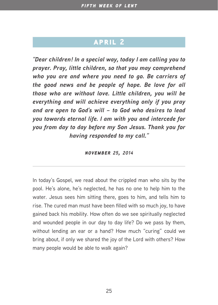*"Dear children! In a special way, today I am calling you to prayer. Pray, little children, so that you may comprehend who you are and where you need to go. Be carriers of the good news and be people of hope. Be love for all those who are without love. Little children, you will be everything and will achieve everything only if you pray and are open to God's will – to God who desires to lead you towards eternal life. I am with you and intercede for you from day to day before my Son Jesus. Thank you for having responded to my call."*

*november 25, 2014*

In today's Gospel, we read about the crippled man who sits by the pool. He's alone, he's neglected, he has no one to help him to the water. Jesus sees him sitting there, goes to him, and tells him to rise. The cured man must have been filled with so much joy, to have gained back his mobility. How often do we see spiritually neglected and wounded people in our day to day life? Do we pass by them, without lending an ear or a hand? How much "curing" could we bring about, if only we shared the joy of the Lord with others? How many people would be able to walk again?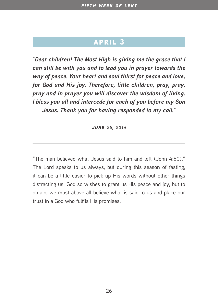*"Dear children! The Most High is giving me the grace that I can still be with you and to lead you in prayer towards the way of peace. Your heart and soul thirst for peace and love, for God and His joy. Therefore, little children, pray, pray, pray and in prayer you will discover the wisdom of living. I bless you all and intercede for each of you before my Son Jesus. Thank you for having responded to my call."*

*june 25, 2014*

"The man believed what Jesus said to him and left (John 4:50)." The Lord speaks to us always, but during this season of fasting, it can be a little easier to pick up His words without other things distracting us. God so wishes to grant us His peace and joy, but to obtain, we must above all believe what is said to us and place our trust in a God who fulfils His promises.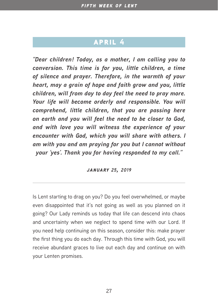*"Dear children! Today, as a mother, I am calling you to conversion. This time is for you, little children, a time of silence and prayer. Therefore, in the warmth of your heart, may a grain of hope and faith grow and you, little children, will from day to day feel the need to pray more. Your life will become orderly and responsible. You will comprehend, little children, that you are passing here on earth and you will feel the need to be closer to God, and with love you will witness the experience of your encounter with God, which you will share with others. I am with you and am praying for you but I cannot without your 'yes'. Thank you for having responded to my call."*

*january 25, 2019*

Is Lent starting to drag on you? Do you feel overwhelmed, or maybe even disappointed that it's not going as well as you planned on it going? Our Lady reminds us today that life can descend into chaos and uncertainty when we neglect to spend time with our Lord. If you need help continuing on this season, consider this: make prayer the first thing you do each day. Through this time with God, you will receive abundant graces to live out each day and continue on with your Lenten promises.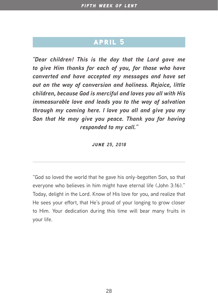*"Dear children! This is the day that the Lord gave me to give Him thanks for each of you, for those who have converted and have accepted my messages and have set out on the way of conversion and holiness. Rejoice, little children, because God is merciful and loves you all with His immeasurable love and leads you to the way of salvation through my coming here. I love you all and give you my Son that He may give you peace. Thank you for having responded to my call."*

*june 25, 2018*

"God so loved the world that he gave his only-begotten Son, so that everyone who believes in him might have eternal life (John 3:16)." Today, delight in the Lord. Know of His love for you, and realize that He sees your effort, that He's proud of your longing to grow closer to Him. Your dedication during this time will bear many fruits in your life.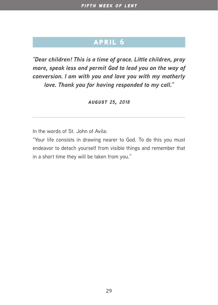*"Dear children! This is a time of grace. Little children, pray more, speak less and permit God to lead you on the way of conversion. I am with you and love you with my motherly love. Thank you for having responded to my call."*

*august 25, 2018*

In the words of St. John of Avila:

"Your life consists in drawing nearer to God. To do this you must endeavor to detach yourself from visible things and remember that in a short time they will be taken from you."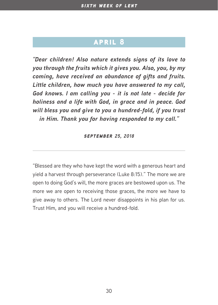*"Dear children! Also nature extends signs of its love to you through the fruits which it gives you. Also, you, by my coming, have received an abundance of gifts and fruits. Little children, how much you have answered to my call, God knows. I am calling you - it is not late - decide for holiness and a life with God, in grace and in peace. God will bless you and give to you a hundred-fold, if you trust in Him. Thank you for having responded to my call."*

#### *september 25, 2018*

"Blessed are they who have kept the word with a generous heart and yield a harvest through perseverance (Luke 8:15)." The more we are open to doing God's will, the more graces are bestowed upon us. The more we are open to receiving those graces, the more we have to give away to others. The Lord never disappoints in his plan for us. Trust Him, and you will receive a hundred-fold.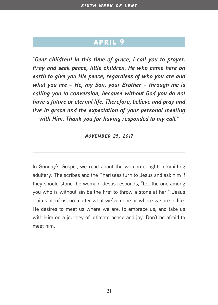*"Dear children! In this time of grace, I call you to prayer. Pray and seek peace, little children. He who came here on earth to give you His peace, regardless of who you are and what you are – He, my Son, your Brother – through me is calling you to conversion, because without God you do not have a future or eternal life. Therefore, believe and pray and live in grace and the expectation of your personal meeting with Him. Thank you for having responded to my call."*

*november 25, 2017*

In Sunday's Gospel, we read about the woman caught committing adultery. The scribes and the Pharisees turn to Jesus and ask him if they should stone the woman. Jesus responds, "Let the one among you who is without sin be the first to throw a stone at her." Jesus claims all of us, no matter what we've done or where we are in life. He desires to meet us where we are, to embrace us, and take us with Him on a journey of ultimate peace and joy. Don't be afraid to meet him.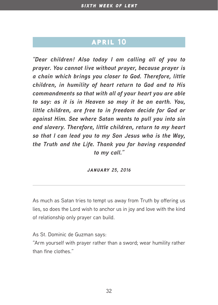*"Dear children! Also today I am calling all of you to prayer. You cannot live without prayer, because prayer is a chain which brings you closer to God. Therefore, little children, in humility of heart return to God and to His commandments so that with all of your heart you are able to say: as it is in Heaven so may it be on earth. You, little children, are free to in freedom decide for God or against Him. See where Satan wants to pull you into sin and slavery. Therefore, little children, return to my heart so that I can lead you to my Son Jesus who is the Way, the Truth and the Life. Thank you for having responded to my call."*

*january 25, 2016*

As much as Satan tries to tempt us away from Truth by offering us lies, so does the Lord wish to anchor us in joy and love with the kind of relationship only prayer can build.

As St. Dominic de Guzman says:

"Arm yourself with prayer rather than a sword; wear humility rather than fine clothes."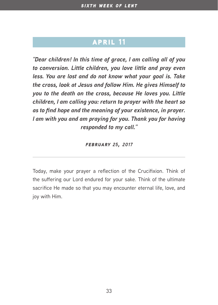*"Dear children! In this time of grace, I am calling all of you to conversion. Little children, you love little and pray even less. You are lost and do not know what your goal is. Take the cross, look at Jesus and follow Him. He gives Himself to you to the death on the cross, because He loves you. Little children, I am calling you: return to prayer with the heart so as to find hope and the meaning of your existence, in prayer. I am with you and am praying for you. Thank you for having responded to my call."*

*february 25, 2017*

Today, make your prayer a reflection of the Crucifixion. Think of the suffering our Lord endured for your sake. Think of the ultimate sacrifice He made so that you may encounter eternal life, love, and joy with Him.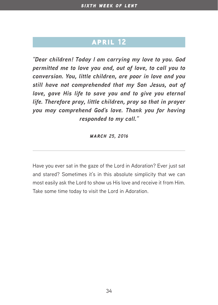*"Dear children! Today I am carrying my love to you. God permitted me to love you and, out of love, to call you to conversion. You, little children, are poor in love and you still have not comprehended that my Son Jesus, out of love, gave His life to save you and to give you eternal life. Therefore pray, little children, pray so that in prayer you may comprehend God's love. Thank you for having responded to my call."*

*march 25, 2016*

Have you ever sat in the gaze of the Lord in Adoration? Ever just sat and stared? Sometimes it's in this absolute simplicity that we can most easily ask the Lord to show us His love and receive it from Him. Take some time today to visit the Lord in Adoration.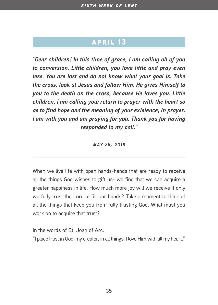*"Dear children! In this time of grace, I am calling all of you to conversion. Little children, you love little and pray even less. You are lost and do not know what your goal is. Take the cross, look at Jesus and follow Him. He gives Himself to you to the death on the cross, because He loves you. Little children, I am calling you: return to prayer with the heart so as to find hope and the meaning of your existence, in prayer. I am with you and am praying for you. Thank you for having responded to my call."*

*may 25, 2018*

When we live life with open hands-hands that are ready to receive all the things God wishes to gift us- we find that we can acquire a greater happiness in life. How much more joy will we receive if only we fully trust the Lord to fill our hands? Take a moment to think of all the things that keep you from fully trusting God. What must you work on to acquire that trust?

In the words of St. Joan of Arc:

"I place trust in God, my creator, in all things; I love Him with all my heart."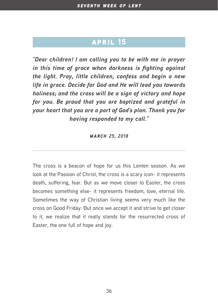*"Dear children! I am calling you to be with me in prayer in this time of grace when darkness is fighting against the light. Pray, little children, confess and begin a new life in grace. Decide for God and He will lead you towards holiness; and the cross will be a sign of victory and hope for you. Be proud that you are baptized and grateful in your heart that you are a part of God's plan. Thank you for having responded to my call."*

*march 25, 2018*

The cross is a beacon of hope for us this Lenten season. As we look at the Passion of Christ, the cross is a scary icon- it represents death, suffering, fear. But as we move closer to Easter, the cross becomes something else- it represents freedom, love, eternal life. Sometimes the way of Christian living seems very much like the cross on Good Friday. But once we accept it and strive to get closer to it, we realize that it really stands for the resurrected cross of Easter, the one full of hope and joy.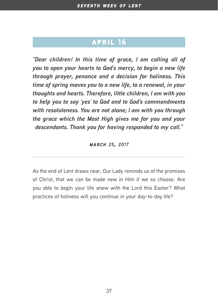*"Dear children! In this time of grace, I am calling all of you to open your hearts to God's mercy, to begin a new life through prayer, penance and a decision for holiness. This time of spring moves you to a new life, to a renewal, in your thoughts and hearts. Therefore, little children, I am with you to help you to say 'yes' to God and to God's commandments with resoluteness. You are not alone; I am with you through the grace which the Most High gives me for you and your descendants. Thank you for having responded to my call."*

*march 25, 2017*

As the end of Lent draws near, Our Lady reminds us of the promises of Christ, that we can be made new in Him if we so choose. Are you able to begin your life anew with the Lord this Easter? What practices of holiness will you continue in your day-to-day life?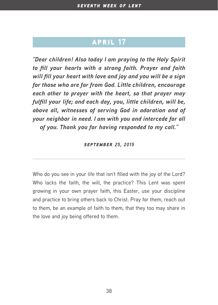*"Dear children! Also today I am praying to the Holy Spirit to fill your hearts with a strong faith. Prayer and faith will fill your heart with love and joy and you will be a sign for those who are far from God. Little children, encourage each other to prayer with the heart, so that prayer may fulfill your life; and each day, you, little children, will be, above all, witnesses of serving God in adoration and of your neighbor in need. I am with you and intercede for all of you. Thank you for having responded to my call."*

#### *september 25, 2015*

Who do you see in your life that isn't filled with the joy of the Lord? Who lacks the faith, the will, the practice? This Lent was spent growing in your own prayer faith, this Easter, use your discipline and practice to bring others back to Christ. Pray for them, reach out to them, be an example of faith to them, that they too may share in the love and joy being offered to them.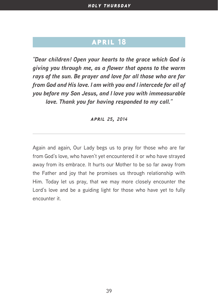*"Dear children! Open your hearts to the grace which God is giving you through me, as a flower that opens to the warm rays of the sun. Be prayer and love for all those who are far from God and His love. I am with you and I intercede for all of you before my Son Jesus, and I love you with immeasurable love. Thank you for having responded to my call."*

#### *april 25, 2014*

Again and again, Our Lady begs us to pray for those who are far from God's love, who haven't yet encountered it or who have strayed away from its embrace. It hurts our Mother to be so far away from the Father and joy that he promises us through relationship with Him. Today let us pray, that we may more closely encounter the Lord's love and be a guiding light for those who have yet to fully encounter it.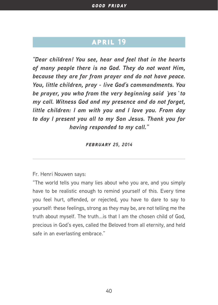*"Dear children! You see, hear and feel that in the hearts of many people there is no God. They do not want Him, because they are far from prayer and do not have peace. You, little children, pray - live God's commandments. You be prayer, you who from the very beginning said `yes` to my call. Witness God and my presence and do not forget, little children: I am with you and I love you. From day to day I present you all to my Son Jesus. Thank you for having responded to my call."*

*february 25, 2014*

Fr. Henri Nouwen says:

"The world tells you many lies about who you are, and you simply have to be realistic enough to remind yourself of this. Every time you feel hurt, offended, or rejected, you have to dare to say to yourself: these feelings, strong as they may be, are not telling me the truth about myself. The truth...is that I am the chosen child of God, precious in God's eyes, called the Beloved from all eternity, and held safe in an everlasting embrace."